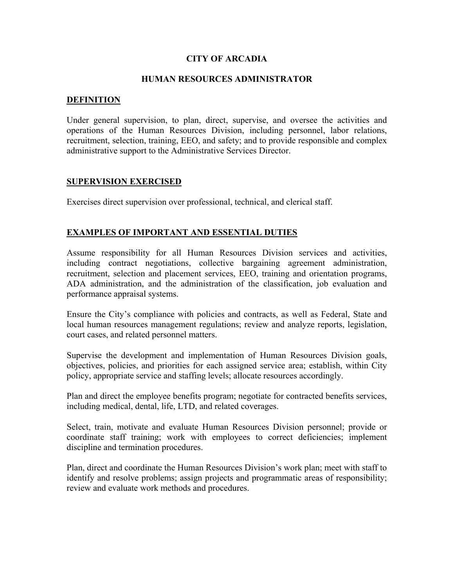## **CITY OF ARCADIA**

## **HUMAN RESOURCES ADMINISTRATOR**

### **DEFINITION**

Under general supervision, to plan, direct, supervise, and oversee the activities and operations of the Human Resources Division, including personnel, labor relations, recruitment, selection, training, EEO, and safety; and to provide responsible and complex administrative support to the Administrative Services Director.

## **SUPERVISION EXERCISED**

Exercises direct supervision over professional, technical, and clerical staff.

## **EXAMPLES OF IMPORTANT AND ESSENTIAL DUTIES**

Assume responsibility for all Human Resources Division services and activities, including contract negotiations, collective bargaining agreement administration, recruitment, selection and placement services, EEO, training and orientation programs, ADA administration, and the administration of the classification, job evaluation and performance appraisal systems.

Ensure the City's compliance with policies and contracts, as well as Federal, State and local human resources management regulations; review and analyze reports, legislation, court cases, and related personnel matters.

Supervise the development and implementation of Human Resources Division goals, objectives, policies, and priorities for each assigned service area; establish, within City policy, appropriate service and staffing levels; allocate resources accordingly.

Plan and direct the employee benefits program; negotiate for contracted benefits services, including medical, dental, life, LTD, and related coverages.

Select, train, motivate and evaluate Human Resources Division personnel; provide or coordinate staff training; work with employees to correct deficiencies; implement discipline and termination procedures.

Plan, direct and coordinate the Human Resources Division's work plan; meet with staff to identify and resolve problems; assign projects and programmatic areas of responsibility; review and evaluate work methods and procedures.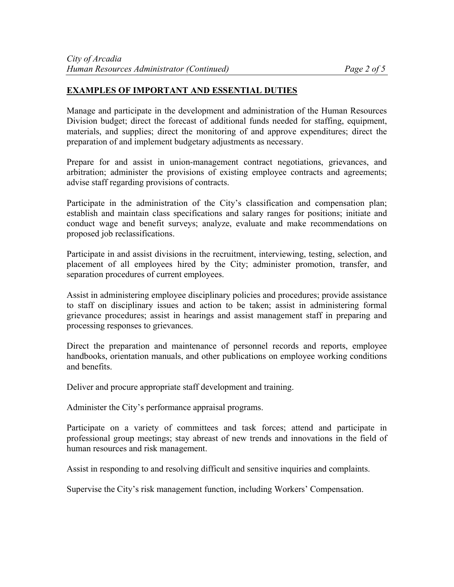## **EXAMPLES OF IMPORTANT AND ESSENTIAL DUTIES**

Manage and participate in the development and administration of the Human Resources Division budget; direct the forecast of additional funds needed for staffing, equipment, materials, and supplies; direct the monitoring of and approve expenditures; direct the preparation of and implement budgetary adjustments as necessary.

Prepare for and assist in union-management contract negotiations, grievances, and arbitration; administer the provisions of existing employee contracts and agreements; advise staff regarding provisions of contracts.

Participate in the administration of the City's classification and compensation plan; establish and maintain class specifications and salary ranges for positions; initiate and conduct wage and benefit surveys; analyze, evaluate and make recommendations on proposed job reclassifications.

Participate in and assist divisions in the recruitment, interviewing, testing, selection, and placement of all employees hired by the City; administer promotion, transfer, and separation procedures of current employees.

Assist in administering employee disciplinary policies and procedures; provide assistance to staff on disciplinary issues and action to be taken; assist in administering formal grievance procedures; assist in hearings and assist management staff in preparing and processing responses to grievances.

Direct the preparation and maintenance of personnel records and reports, employee handbooks, orientation manuals, and other publications on employee working conditions and benefits.

Deliver and procure appropriate staff development and training.

Administer the City's performance appraisal programs.

Participate on a variety of committees and task forces; attend and participate in professional group meetings; stay abreast of new trends and innovations in the field of human resources and risk management.

Assist in responding to and resolving difficult and sensitive inquiries and complaints.

Supervise the City's risk management function, including Workers' Compensation.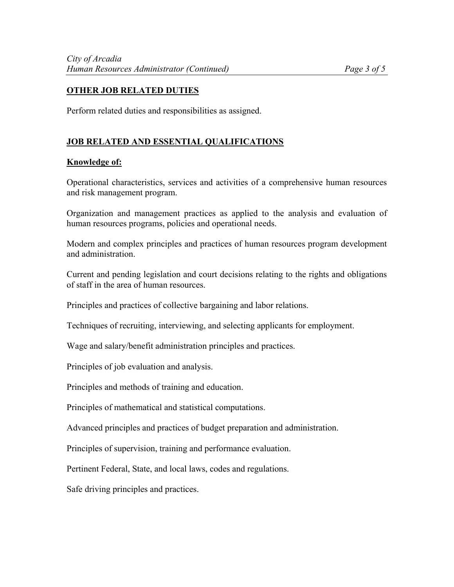# **OTHER JOB RELATED DUTIES**

Perform related duties and responsibilities as assigned.

# **JOB RELATED AND ESSENTIAL QUALIFICATIONS**

### **Knowledge of:**

Operational characteristics, services and activities of a comprehensive human resources and risk management program.

Organization and management practices as applied to the analysis and evaluation of human resources programs, policies and operational needs.

Modern and complex principles and practices of human resources program development and administration.

Current and pending legislation and court decisions relating to the rights and obligations of staff in the area of human resources.

Principles and practices of collective bargaining and labor relations.

Techniques of recruiting, interviewing, and selecting applicants for employment.

Wage and salary/benefit administration principles and practices.

Principles of job evaluation and analysis.

Principles and methods of training and education.

Principles of mathematical and statistical computations.

Advanced principles and practices of budget preparation and administration.

Principles of supervision, training and performance evaluation.

Pertinent Federal, State, and local laws, codes and regulations.

Safe driving principles and practices.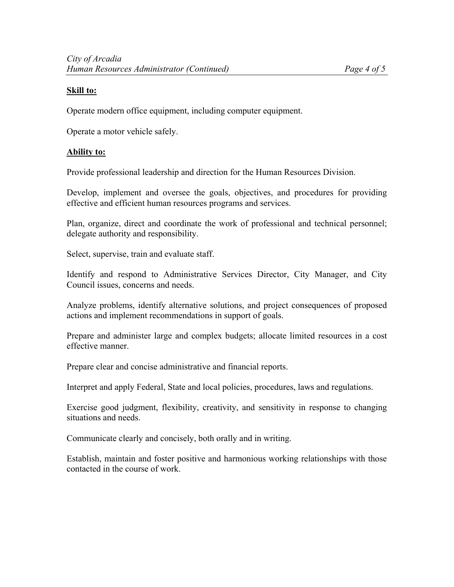## **Skill to:**

Operate modern office equipment, including computer equipment.

Operate a motor vehicle safely.

## **Ability to:**

Provide professional leadership and direction for the Human Resources Division.

Develop, implement and oversee the goals, objectives, and procedures for providing effective and efficient human resources programs and services.

Plan, organize, direct and coordinate the work of professional and technical personnel; delegate authority and responsibility.

Select, supervise, train and evaluate staff.

Identify and respond to Administrative Services Director, City Manager, and City Council issues, concerns and needs.

Analyze problems, identify alternative solutions, and project consequences of proposed actions and implement recommendations in support of goals.

Prepare and administer large and complex budgets; allocate limited resources in a cost effective manner.

Prepare clear and concise administrative and financial reports.

Interpret and apply Federal, State and local policies, procedures, laws and regulations.

Exercise good judgment, flexibility, creativity, and sensitivity in response to changing situations and needs.

Communicate clearly and concisely, both orally and in writing.

Establish, maintain and foster positive and harmonious working relationships with those contacted in the course of work.